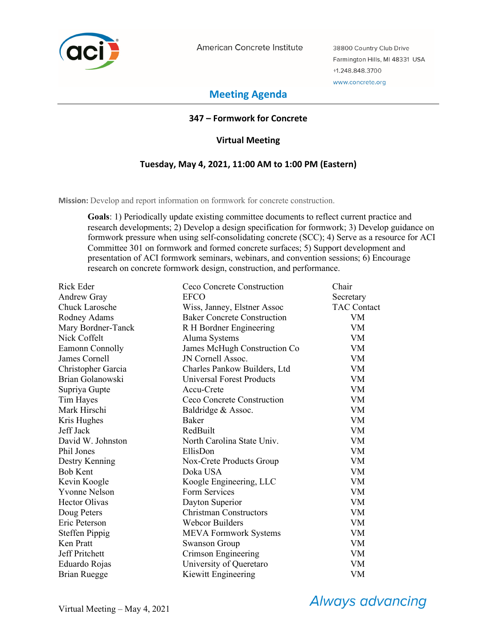

American Concrete Institute

38800 Country Club Drive Farmington Hills, MI 48331 USA +1.248.848.3700 www.concrete.org

# **Meeting Agenda**

### **347 – Formwork for Concrete**

### **Virtual Meeting**

### **Tuesday, May 4, 2021, 11:00 AM to 1:00 PM (Eastern)**

**Mission:** Develop and report information on formwork for concrete construction.

**Goals**: 1) Periodically update existing committee documents to reflect current practice and research developments; 2) Develop a design specification for formwork; 3) Develop guidance on formwork pressure when using self-consolidating concrete (SCC); 4) Serve as a resource for ACI Committee 301 on formwork and formed concrete surfaces; 5) Support development and presentation of ACI formwork seminars, webinars, and convention sessions; 6) Encourage research on concrete formwork design, construction, and performance.

| Rick Eder             | Ceco Concrete Construction         | Chair              |
|-----------------------|------------------------------------|--------------------|
| Andrew Gray           | <b>EFCO</b>                        | Secretary          |
| <b>Chuck Larosche</b> | Wiss, Janney, Elstner Assoc        | <b>TAC Contact</b> |
| Rodney Adams          | <b>Baker Concrete Construction</b> | VM                 |
| Mary Bordner-Tanck    | R H Bordner Engineering            | VM                 |
| Nick Coffelt          | Aluma Systems                      | <b>VM</b>          |
| Eamonn Connolly       | James McHugh Construction Co       | VM                 |
| James Cornell         | JN Cornell Assoc.                  | VM                 |
| Christopher Garcia    | Charles Pankow Builders, Ltd       | <b>VM</b>          |
| Brian Golanowski      | Universal Forest Products          | <b>VM</b>          |
| Supriya Gupte         | Accu-Crete                         | <b>VM</b>          |
| Tim Hayes             | Ceco Concrete Construction         | <b>VM</b>          |
| Mark Hirschi          | Baldridge & Assoc.                 | VM                 |
| Kris Hughes           | Baker                              | VM                 |
| Jeff Jack             | RedBuilt                           | <b>VM</b>          |
| David W. Johnston     | North Carolina State Univ.         | VM                 |
| Phil Jones            | EllisDon                           | <b>VM</b>          |
| Destry Kenning        | Nox-Crete Products Group           | <b>VM</b>          |
| <b>Bob Kent</b>       | Doka USA                           | VM                 |
| Kevin Koogle          | Koogle Engineering, LLC            | VM                 |
| <b>Yvonne Nelson</b>  | Form Services                      | VM.                |
| <b>Hector Olivas</b>  | Dayton Superior                    | <b>VM</b>          |
| Doug Peters           | <b>Christman Constructors</b>      | VM                 |
| Eric Peterson         | <b>Webcor Builders</b>             | <b>VM</b>          |
| Steffen Pippig        | <b>MEVA Formwork Systems</b>       | VM                 |
| Ken Pratt             | <b>Swanson Group</b>               | <b>VM</b>          |
| <b>Jeff Pritchett</b> | Crimson Engineering                | <b>VM</b>          |
| Eduardo Rojas         | University of Queretaro            | VM                 |
| Brian Ruegge          | Kiewitt Engineering                | VM                 |

**Always advancing**